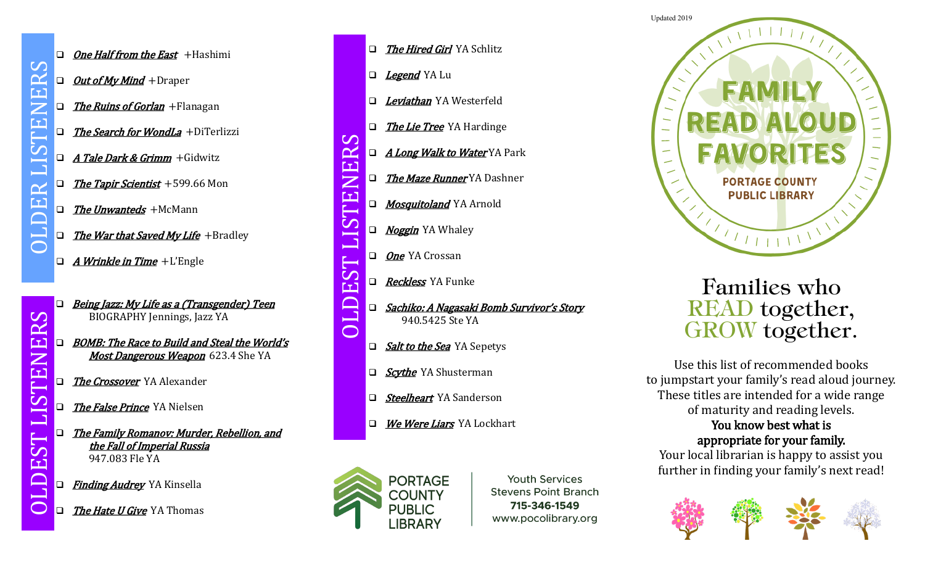$\bigcap$ 

 $\mathbf{\Omega}$  $\mathbf{\alpha}$ 

 $\mathbf{L}$ 

 $\mathbf{L}$ 

 $\bar{\mathbf{C}}$ 

 $\mathbf{\dot{S}}$ **<u>[1</u>]** 

- $\Box$  One Half from the East + Hashimi
- $\Box$  *Out of My Mind* +Draper
- $\Box$  The Ruins of Gorlan + Flanagan
- $\Box$  The Search for WondLa +DiTerlizzi
- $\Box$  A Tale Dark & Grimm + Gidwitz
- $\Box$  The Tapir Scientist +599.66 Mon
- $\Box$  The Unwanteds +McMann
- $\Box$  The War that Saved My Life +Bradley
- $\Box$  *A Wrinkle in Time* +L'Engle
- Being Jazz: My Life as a (Transgender) Teen BIOGRAPHY Jennings, Jazz YA
- BOMB: The Race to Build and Steal the World's Most Dangerous Weapon 623.4 She YA OLDEST LISTENERS
	- The Crossover YA Alexander
	- The False Prince YA Nielsen
	- The Family Romanov: Murder, Rebellion, and the Fall of Imperial Russia 947.083 Fle YA
	- Finding Audrey YA Kinsella
	- The Hate U Give YA Thomas
- □ The Hired Girl YA Schlitz
- □ *Legend* YA Lu

RS

ELN

EST

 $\Box$ 

 $\overline{\bigcap}$ 

- □ Leviathan YA Westerfeld
- □ The Lie Tree YA Hardinge
- □ *A Long Walk to Water* YA Park
- □ The Maze Runner YA Dashner
- Mosquitoland YA Arnold
- STEI □ *Noggin* YA Whaley
	- □ One YA Crossan
	- Reckless YA Funke
- OLDEST LISTENERS □ Sachiko: A Nagasaki Bomb Survivor's Story 940.5425 Ste YA
	- $\Box$  Salt to the Sea YA Sepetys
	- □ *Scythe* YA Shusterman
	- □ Steelheart YA Sanderson
	- We Were Liars YA Lockhart



**Youth Services Stevens Point Branch** 715-346-1549 www.pocolibrary.org



## Families who READ together, GROW together.

Use this list of recommended books to jumpstart your family's read aloud journey. These titles are intended for a wide range of maturity and reading levels. You know best what is appropriate for your family.

Your local librarian is happy to assist you further in finding your family's next read!